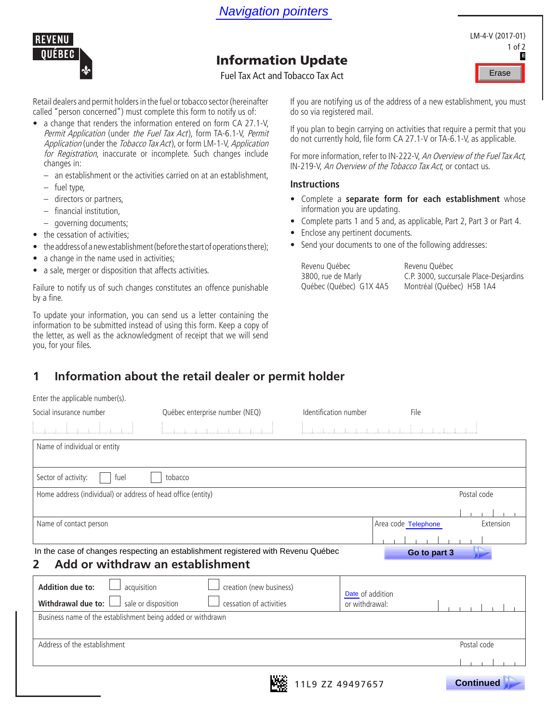

# Information Update

- a change that renders the information entered on form CA 27.1-V, Permit Application (under the Fuel Tax Act), form TA-6.1-V, Permit Application (under the Tobacco Tax Act), or form LM-1-V, Application for Registration, inaccurate or incomplete. Such changes include changes in:
	- an establishment or the activities carried on at an establishment,
	- fuel type,
	- directors or partners,
	- financial institution,
	- governing documents;
- the cessation of activities;
- the address of a new establishment (before the start of operations there);
- a change in the name used in activities;
- a sale, merger or disposition that affects activities.

#### **Instructions**

- Complete a **separate form for each establishment** whose information you are updating.
- Complete parts 1 and 5 and, as applicable, Part 2, Part 3 or Part 4.
- Enclose any pertinent documents.
- Send your documents to one of the following addresses:

## **1 Information about the retail dealer or permit holder**

| <b>Navigation pointers</b>                                                                                                                                                                                                                                                                                                                                                                                                                                                                                                                                                                                                                                                                                                                                                                                                                                                         |                                                                                                                                                                                                                                                                                                                                                                                                                                                                                                                                                                                                                                                                                                                                              |                                   |                                        |
|------------------------------------------------------------------------------------------------------------------------------------------------------------------------------------------------------------------------------------------------------------------------------------------------------------------------------------------------------------------------------------------------------------------------------------------------------------------------------------------------------------------------------------------------------------------------------------------------------------------------------------------------------------------------------------------------------------------------------------------------------------------------------------------------------------------------------------------------------------------------------------|----------------------------------------------------------------------------------------------------------------------------------------------------------------------------------------------------------------------------------------------------------------------------------------------------------------------------------------------------------------------------------------------------------------------------------------------------------------------------------------------------------------------------------------------------------------------------------------------------------------------------------------------------------------------------------------------------------------------------------------------|-----------------------------------|----------------------------------------|
| <b>REVENU</b><br>QUÉBEC                                                                                                                                                                                                                                                                                                                                                                                                                                                                                                                                                                                                                                                                                                                                                                                                                                                            |                                                                                                                                                                                                                                                                                                                                                                                                                                                                                                                                                                                                                                                                                                                                              |                                   | LM-4-V (2017-01)<br>1 of 2             |
|                                                                                                                                                                                                                                                                                                                                                                                                                                                                                                                                                                                                                                                                                                                                                                                                                                                                                    | <b>Information Update</b>                                                                                                                                                                                                                                                                                                                                                                                                                                                                                                                                                                                                                                                                                                                    |                                   | в                                      |
|                                                                                                                                                                                                                                                                                                                                                                                                                                                                                                                                                                                                                                                                                                                                                                                                                                                                                    | <b>Fuel Tax Act and Tobacco Tax Act</b>                                                                                                                                                                                                                                                                                                                                                                                                                                                                                                                                                                                                                                                                                                      |                                   | Erase                                  |
| Retail dealers and permit holders in the fuel or tobacco sector (hereinafter<br>called "person concerned") must complete this form to notify us of:<br>• a change that renders the information entered on form CA 27.1-V,<br>Permit Application (under the Fuel Tax Act), form TA-6.1-V, Permit<br>Application (under the Tobacco Tax Act), or form LM-1-V, Application<br>for Registration, inaccurate or incomplete. Such changes include<br>changes in:<br>an establishment or the activities carried on at an establishment,<br>fuel type,<br>directors or partners,<br>financial institution,<br>governing documents;<br>$\overline{\phantom{0}}$<br>• the cessation of activities;<br>• the address of a new establishment (before the start of operations there);<br>• a change in the name used in activities;<br>• a sale, merger or disposition that affects activities. | If you are notifying us of the address of a new establishment, you must<br>do so via registered mail.<br>If you plan to begin carrying on activities that require a permit that you<br>do not currently hold, file form CA 27.1-V or TA-6.1-V, as applicable.<br>For more information, refer to IN-222-V, An Overview of the Fuel Tax Act,<br>IN-219-V, An Overview of the Tobacco Tax Act, or contact us.<br><b>Instructions</b><br>• Complete a separate form for each establishment whose<br>information you are updating.<br>Complete parts 1 and 5 and, as applicable, Part 2, Part 3 or Part 4.<br>Enclose any pertinent documents.<br>• Send your documents to one of the following addresses:<br>Revenu Québec<br>3800, rue de Marly | Revenu Québec                     | C.P. 3000, succursale Place-Desjardins |
| Failure to notify us of such changes constitutes an offence punishable<br>by a fine.<br>To update your information, you can send us a letter containing the<br>information to be submitted instead of using this form. Keep a copy of<br>the letter, as well as the acknowledgment of receipt that we will send<br>you, for your files.<br>Information about the retail dealer or permit holder<br>1<br>Enter the applicable number(s).<br>Québec enterprise number (NEQ)<br>Social insurance number                                                                                                                                                                                                                                                                                                                                                                               | Québec (Québec) G1X 4A5<br>Identification number                                                                                                                                                                                                                                                                                                                                                                                                                                                                                                                                                                                                                                                                                             | Montréal (Québec) H5B 1A4<br>File |                                        |
| Name of individual or entity                                                                                                                                                                                                                                                                                                                                                                                                                                                                                                                                                                                                                                                                                                                                                                                                                                                       |                                                                                                                                                                                                                                                                                                                                                                                                                                                                                                                                                                                                                                                                                                                                              |                                   |                                        |
| Sector of activity:<br>fuel<br>tobacco<br>Home address (individual) or address of head office (entity)                                                                                                                                                                                                                                                                                                                                                                                                                                                                                                                                                                                                                                                                                                                                                                             |                                                                                                                                                                                                                                                                                                                                                                                                                                                                                                                                                                                                                                                                                                                                              |                                   | Postal code                            |
| Name of contact person<br>In the case of changes respecting an establishment registered with Revenu Québec                                                                                                                                                                                                                                                                                                                                                                                                                                                                                                                                                                                                                                                                                                                                                                         |                                                                                                                                                                                                                                                                                                                                                                                                                                                                                                                                                                                                                                                                                                                                              | Area code Telephone               | Extension                              |
| Add or withdraw an establishment<br>2<br><b>Addition due to:</b><br>acquisition<br>creation (new business)<br>Withdrawal due to:<br>sale or disposition<br>cessation of activities<br>Business name of the establishment being added or withdrawn                                                                                                                                                                                                                                                                                                                                                                                                                                                                                                                                                                                                                                  | Date of addition<br>or withdrawal:                                                                                                                                                                                                                                                                                                                                                                                                                                                                                                                                                                                                                                                                                                           | Go to part 3                      |                                        |
| Address of the establishment                                                                                                                                                                                                                                                                                                                                                                                                                                                                                                                                                                                                                                                                                                                                                                                                                                                       |                                                                                                                                                                                                                                                                                                                                                                                                                                                                                                                                                                                                                                                                                                                                              |                                   | Postal code                            |
|                                                                                                                                                                                                                                                                                                                                                                                                                                                                                                                                                                                                                                                                                                                                                                                                                                                                                    | 11L9 ZZ 49497657                                                                                                                                                                                                                                                                                                                                                                                                                                                                                                                                                                                                                                                                                                                             |                                   | <b>Continued</b>                       |